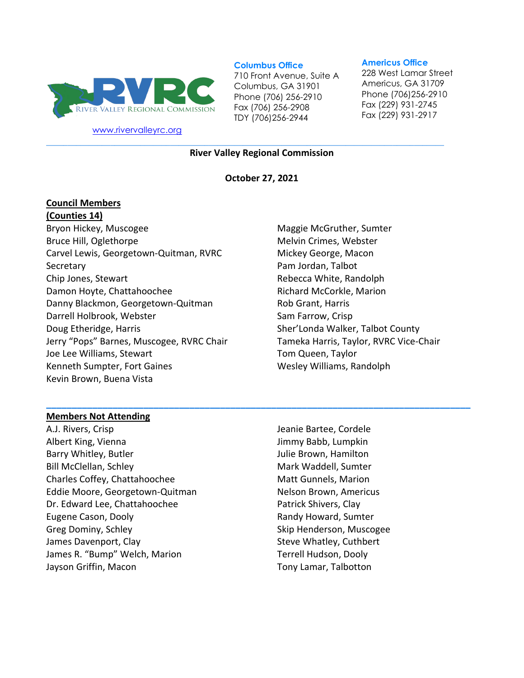

[www.rivervalleyrc.org](http://www.rivervalleyrc.org/)

#### **Columbus Office**

710 Front Avenue, Suite A Columbus, GA 31901 Phone (706) 256-2910 Fax (706) 256-2908 TDY (706)256-2944

#### **Americus Office**

228 West Lamar Street Americus, GA 31709 Phone (706)256-2910 Fax (229) 931-2745 Fax (229) 931-2917

**River Valley Regional Commission**

**\_\_\_\_\_\_\_\_\_\_\_\_\_\_\_\_\_\_\_\_\_\_\_\_\_\_\_\_\_\_\_\_\_\_\_\_\_\_\_\_\_\_\_\_\_\_\_\_\_\_\_\_\_\_\_\_\_\_\_\_\_\_\_\_\_\_\_\_\_\_\_\_\_\_\_\_\_\_\_\_\_\_\_\_\_\_\_\_\_\_\_\_\_**

#### **October 27, 2021**

**\_\_\_\_\_\_\_\_\_\_\_\_\_\_\_\_\_\_\_\_\_\_\_\_\_\_\_\_\_\_\_\_\_\_\_\_\_\_\_\_\_\_\_\_\_\_\_\_\_\_\_\_\_\_\_\_\_\_\_\_\_\_\_\_\_\_\_\_\_\_\_\_\_\_\_\_\_\_\_\_\_\_\_**

## **Council Members (Counties 14)**

Bryon Hickey, Muscogee Bruce Hill, Oglethorpe Carvel Lewis, Georgetown-Quitman, RVRC Secretary Chip Jones, Stewart Damon Hoyte, Chattahoochee Danny Blackmon, Georgetown-Quitman Darrell Holbrook, Webster Doug Etheridge, Harris Jerry "Pops" Barnes, Muscogee, RVRC Chair Joe Lee Williams, Stewart Kenneth Sumpter, Fort Gaines Kevin Brown, Buena Vista

Maggie McGruther, Sumter Melvin Crimes, Webster Mickey George, Macon Pam Jordan, Talbot Rebecca White, Randolph Richard McCorkle, Marion Rob Grant, Harris Sam Farrow, Crisp Sher'Londa Walker, Talbot County Tameka Harris, Taylor, RVRC Vice-Chair Tom Queen, Taylor Wesley Williams, Randolph

### **Members Not Attending**

A.J. Rivers, Crisp Albert King, Vienna Barry Whitley, Butler Bill McClellan, Schley Charles Coffey, Chattahoochee Eddie Moore, Georgetown-Quitman Dr. Edward Lee, Chattahoochee Eugene Cason, Dooly Greg Dominy, Schley James Davenport, Clay James R. "Bump" Welch, Marion Jayson Griffin, Macon

Jeanie Bartee, Cordele Jimmy Babb, Lumpkin Julie Brown, Hamilton Mark Waddell, Sumter Matt Gunnels, Marion Nelson Brown, Americus Patrick Shivers, Clay Randy Howard, Sumter Skip Henderson, Muscogee Steve Whatley, Cuthbert Terrell Hudson, Dooly Tony Lamar, Talbotton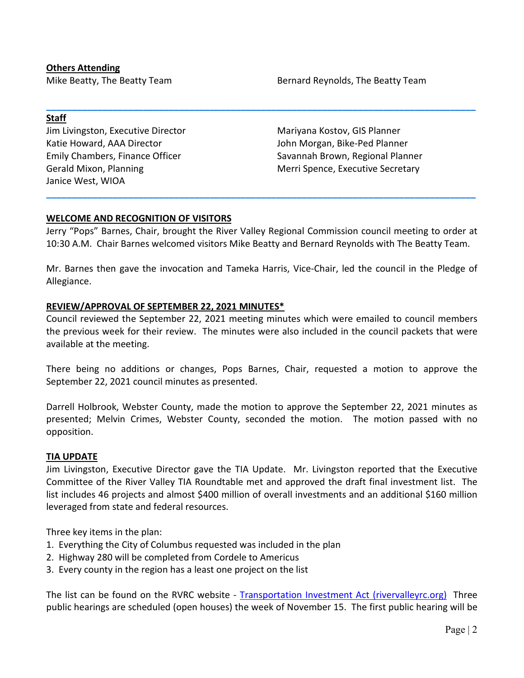## **Others Attending**

Mike Beatty, The Beatty Team Beatty Team Bernard Reynolds, The Beatty Team

## **Staff**

Jim Livingston, Executive Director Katie Howard, AAA Director Emily Chambers, Finance Officer Gerald Mixon, Planning Janice West, WIOA

Mariyana Kostov, GIS Planner John Morgan, Bike-Ped Planner Savannah Brown, Regional Planner Merri Spence, Executive Secretary

# **WELCOME AND RECOGNITION OF VISITORS**

Jerry "Pops" Barnes, Chair, brought the River Valley Regional Commission council meeting to order at 10:30 A.M. Chair Barnes welcomed visitors Mike Beatty and Bernard Reynolds with The Beatty Team.

**\_\_\_\_\_\_\_\_\_\_\_\_\_\_\_\_\_\_\_\_\_\_\_\_\_\_\_\_\_\_\_\_\_\_\_\_\_\_\_\_\_\_\_\_\_\_\_\_\_\_\_\_\_\_\_\_\_\_\_\_\_\_\_\_\_\_\_\_\_\_\_\_\_\_\_\_\_\_\_\_\_\_\_\_**

**\_\_\_\_\_\_\_\_\_\_\_\_\_\_\_\_\_\_\_\_\_\_\_\_\_\_\_\_\_\_\_\_\_\_\_\_\_\_\_\_\_\_\_\_\_\_\_\_\_\_\_\_\_\_\_\_\_\_\_\_\_\_\_\_\_\_\_\_\_\_\_\_\_\_\_\_\_\_\_\_\_\_\_\_**

Mr. Barnes then gave the invocation and Tameka Harris, Vice-Chair, led the council in the Pledge of Allegiance.

## **REVIEW/APPROVAL OF SEPTEMBER 22, 2021 MINUTES\***

Council reviewed the September 22, 2021 meeting minutes which were emailed to council members the previous week for their review. The minutes were also included in the council packets that were available at the meeting.

There being no additions or changes, Pops Barnes, Chair, requested a motion to approve the September 22, 2021 council minutes as presented.

Darrell Holbrook, Webster County, made the motion to approve the September 22, 2021 minutes as presented; Melvin Crimes, Webster County, seconded the motion. The motion passed with no opposition.

### **TIA UPDATE**

Jim Livingston, Executive Director gave the TIA Update. Mr. Livingston reported that the Executive Committee of the River Valley TIA Roundtable met and approved the draft final investment list. The list includes 46 projects and almost \$400 million of overall investments and an additional \$160 million leveraged from state and federal resources.

Three key items in the plan:

- 1. Everything the City of Columbus requested was included in the plan
- 2. Highway 280 will be completed from Cordele to Americus
- 3. Every county in the region has a least one project on the list

The list can be found on the RVRC website - [Transportation Investment Act \(rivervalleyrc.org\)](https://www.rivervalleyrc.org/index.php/transportation-investment-act) Three public hearings are scheduled (open houses) the week of November 15. The first public hearing will be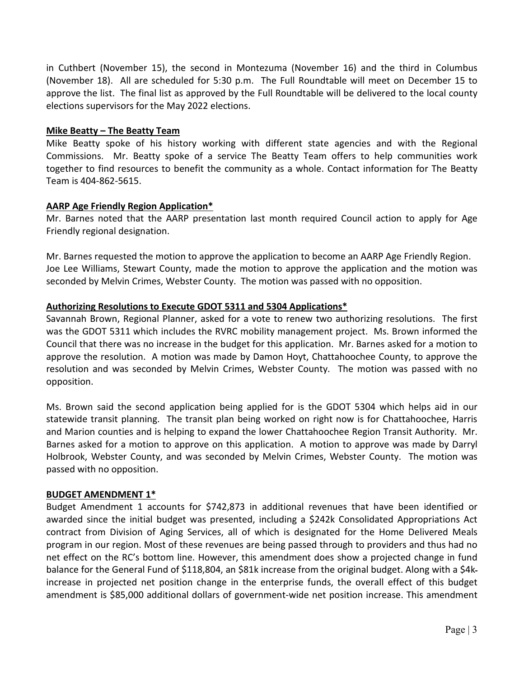in Cuthbert (November 15), the second in Montezuma (November 16) and the third in Columbus (November 18). All are scheduled for 5:30 p.m. The Full Roundtable will meet on December 15 to approve the list. The final list as approved by the Full Roundtable will be delivered to the local county elections supervisors for the May 2022 elections.

## **Mike Beatty – The Beatty Team**

Mike Beatty spoke of his history working with different state agencies and with the Regional Commissions. Mr. Beatty spoke of a service The Beatty Team offers to help communities work together to find resources to benefit the community as a whole. Contact information for The Beatty Team is 404-862-5615.

## **AARP Age Friendly Region Application\***

Mr. Barnes noted that the AARP presentation last month required Council action to apply for Age Friendly regional designation.

Mr. Barnes requested the motion to approve the application to become an AARP Age Friendly Region. Joe Lee Williams, Stewart County, made the motion to approve the application and the motion was seconded by Melvin Crimes, Webster County. The motion was passed with no opposition.

## **Authorizing Resolutions to Execute GDOT 5311 and 5304 Applications\***

Savannah Brown, Regional Planner, asked for a vote to renew two authorizing resolutions. The first was the GDOT 5311 which includes the RVRC mobility management project. Ms. Brown informed the Council that there was no increase in the budget for this application. Mr. Barnes asked for a motion to approve the resolution. A motion was made by Damon Hoyt, Chattahoochee County, to approve the resolution and was seconded by Melvin Crimes, Webster County. The motion was passed with no opposition.

Ms. Brown said the second application being applied for is the GDOT 5304 which helps aid in our statewide transit planning. The transit plan being worked on right now is for Chattahoochee, Harris and Marion counties and is helping to expand the lower Chattahoochee Region Transit Authority. Mr. Barnes asked for a motion to approve on this application. A motion to approve was made by Darryl Holbrook, Webster County, and was seconded by Melvin Crimes, Webster County. The motion was passed with no opposition.

## **BUDGET AMENDMENT 1\***

Budget Amendment 1 accounts for \$742,873 in additional revenues that have been identified or awarded since the initial budget was presented, including a \$242k Consolidated Appropriations Act contract from Division of Aging Services, all of which is designated for the Home Delivered Meals program in our region. Most of these revenues are being passed through to providers and thus had no net effect on the RC's bottom line. However, this amendment does show a projected change in fund balance for the General Fund of \$118,804, an \$81k increase from the original budget. Along with a \$4kincrease in projected net position change in the enterprise funds, the overall effect of this budget amendment is \$85,000 additional dollars of government-wide net position increase. This amendment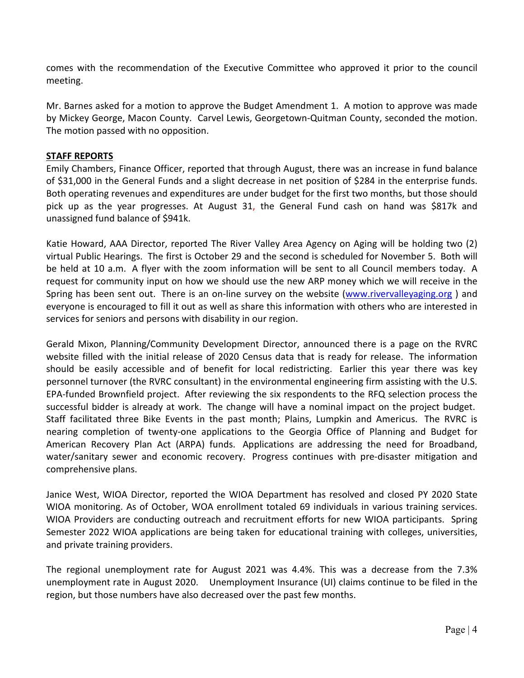comes with the recommendation of the Executive Committee who approved it prior to the council meeting.

Mr. Barnes asked for a motion to approve the Budget Amendment 1. A motion to approve was made by Mickey George, Macon County. Carvel Lewis, Georgetown-Quitman County, seconded the motion. The motion passed with no opposition.

# **STAFF REPORTS**

Emily Chambers, Finance Officer, reported that through August, there was an increase in fund balance of \$31,000 in the General Funds and a slight decrease in net position of \$284 in the enterprise funds. Both operating revenues and expenditures are under budget for the first two months, but those should pick up as the year progresses. At August 31, the General Fund cash on hand was \$817k and unassigned fund balance of \$941k.

Katie Howard, AAA Director, reported The River Valley Area Agency on Aging will be holding two (2) virtual Public Hearings. The first is October 29 and the second is scheduled for November 5. Both will be held at 10 a.m. A flyer with the zoom information will be sent to all Council members today. A request for community input on how we should use the new ARP money which we will receive in the Spring has been sent out. There is an on-line survey on the website [\(www.rivervalleyaging.org](http://www.rivervalleyaging.org/) ) and everyone is encouraged to fill it out as well as share this information with others who are interested in services for seniors and persons with disability in our region.

Gerald Mixon, Planning/Community Development Director, announced there is a page on the RVRC website filled with the initial release of 2020 Census data that is ready for release. The information should be easily accessible and of benefit for local redistricting. Earlier this year there was key personnel turnover (the RVRC consultant) in the environmental engineering firm assisting with the U.S. EPA-funded Brownfield project. After reviewing the six respondents to the RFQ selection process the successful bidder is already at work. The change will have a nominal impact on the project budget. Staff facilitated three Bike Events in the past month; Plains, Lumpkin and Americus. The RVRC is nearing completion of twenty-one applications to the Georgia Office of Planning and Budget for American Recovery Plan Act (ARPA) funds. Applications are addressing the need for Broadband, water/sanitary sewer and economic recovery. Progress continues with pre-disaster mitigation and comprehensive plans.

Janice West, WIOA Director, reported the WIOA Department has resolved and closed PY 2020 State WIOA monitoring. As of October, WOA enrollment totaled 69 individuals in various training services. WIOA Providers are conducting outreach and recruitment efforts for new WIOA participants. Spring Semester 2022 WIOA applications are being taken for educational training with colleges, universities, and private training providers.

The regional unemployment rate for August 2021 was 4.4%. This was a decrease from the 7.3% unemployment rate in August 2020. Unemployment Insurance (UI) claims continue to be filed in the region, but those numbers have also decreased over the past few months.